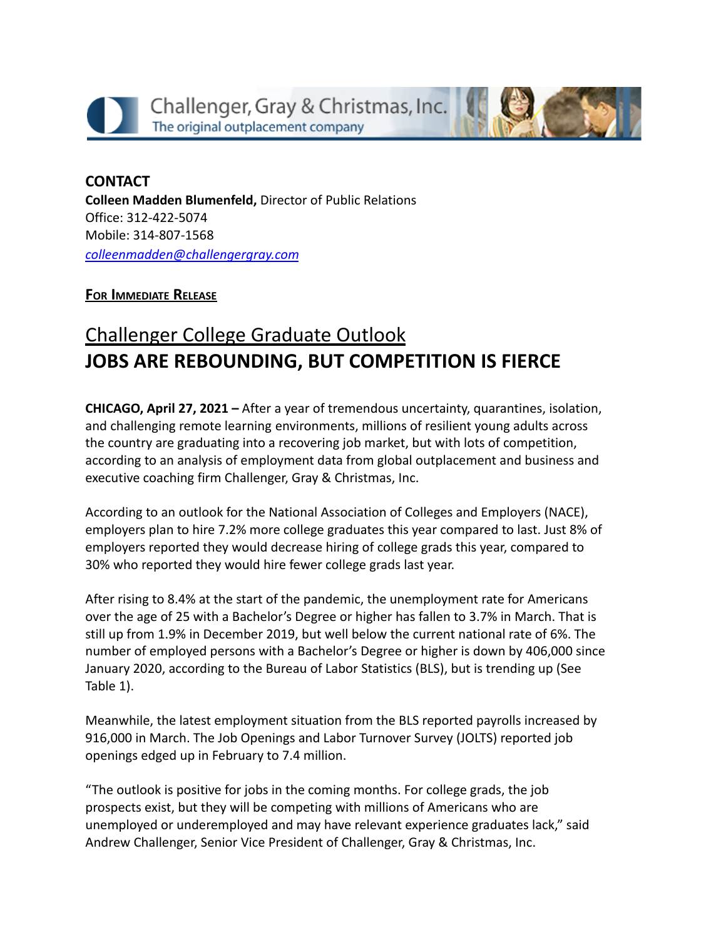



**CONTACT Colleen Madden Blumenfeld,** Director of Public Relations Office: 312-422-5074 Mobile: 314-807-1568 *[colleenmadden@challengergray.com](mailto:colleenmadden@challengergray.com)*

## **FOR IMMEDIATE RELEASE**

## Challenger College Graduate Outlook **JOBS ARE REBOUNDING, BUT COMPETITION IS FIERCE**

**CHICAGO, April 27, 2021 –** After a year of tremendous uncertainty, quarantines, isolation, and challenging remote learning environments, millions of resilient young adults across the country are graduating into a recovering job market, but with lots of competition, according to an analysis of employment data from global outplacement and business and executive coaching firm Challenger, Gray & Christmas, Inc.

According to an outlook for the National Association of Colleges and Employers (NACE), employers plan to hire 7.2% more college graduates this year compared to last. Just 8% of employers reported they would decrease hiring of college grads this year, compared to 30% who reported they would hire fewer college grads last year.

After rising to 8.4% at the start of the pandemic, the unemployment rate for Americans over the age of 25 with a Bachelor's Degree or higher has fallen to 3.7% in March. That is still up from 1.9% in December 2019, but well below the current national rate of 6%. The number of employed persons with a Bachelor's Degree or higher is down by 406,000 since January 2020, according to the Bureau of Labor Statistics (BLS), but is trending up (See Table 1).

Meanwhile, the latest employment situation from the BLS reported payrolls increased by 916,000 in March. The Job Openings and Labor Turnover Survey (JOLTS) reported job openings edged up in February to 7.4 million.

"The outlook is positive for jobs in the coming months. For college grads, the job prospects exist, but they will be competing with millions of Americans who are unemployed or underemployed and may have relevant experience graduates lack," said Andrew Challenger, Senior Vice President of Challenger, Gray & Christmas, Inc.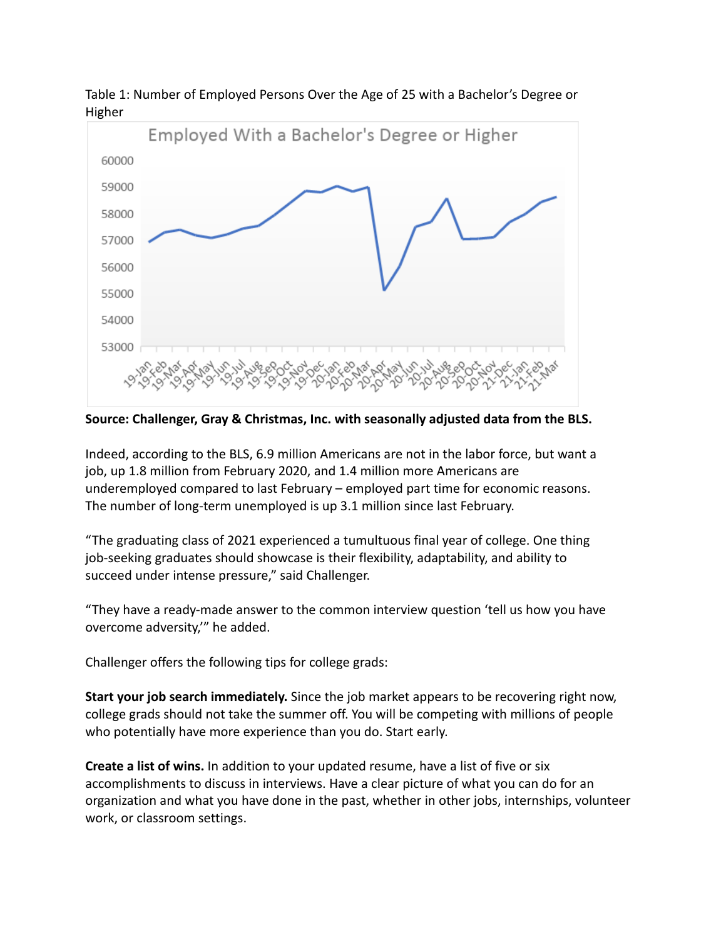

Table 1: Number of Employed Persons Over the Age of 25 with a Bachelor's Degree or Higher

**Source: Challenger, Gray & Christmas, Inc. with seasonally adjusted data from the BLS.**

Indeed, according to the BLS, 6.9 million Americans are not in the labor force, but want a job, up 1.8 million from February 2020, and 1.4 million more Americans are underemployed compared to last February – employed part time for economic reasons. The number of long-term unemployed is up 3.1 million since last February.

"The graduating class of 2021 experienced a tumultuous final year of college. One thing job-seeking graduates should showcase is their flexibility, adaptability, and ability to succeed under intense pressure," said Challenger.

"They have a ready-made answer to the common interview question 'tell us how you have overcome adversity,'" he added.

Challenger offers the following tips for college grads:

**Start your job search immediately.** Since the job market appears to be recovering right now, college grads should not take the summer off. You will be competing with millions of people who potentially have more experience than you do. Start early.

**Create a list of wins.** In addition to your updated resume, have a list of five or six accomplishments to discuss in interviews. Have a clear picture of what you can do for an organization and what you have done in the past, whether in other jobs, internships, volunteer work, or classroom settings.